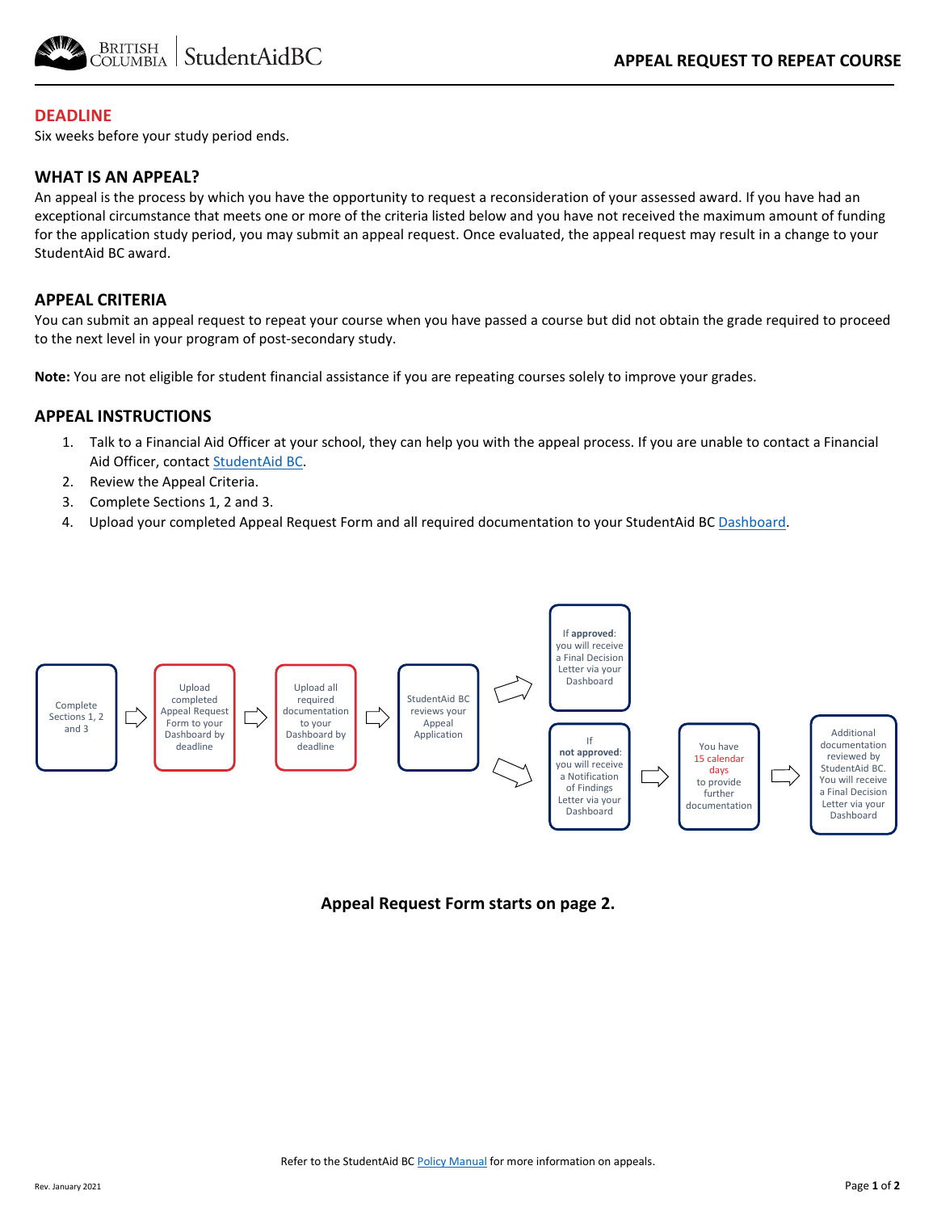

## **DEADLINE**

Six weeks before your study period ends.

## **WHAT IS AN APPEAL?**

An appeal is the process by which you have the opportunity to request a reconsideration of your assessed award. If you have had an exceptional circumstance that meets one or more of the criteria listed below and you have not received the maximum amount of funding for the application study period, you may submit an appeal request. Once evaluated, the appeal request may result in a change to your StudentAid BC award.

## **APPEAL CRITERIA**

You can submit an appeal request to repeat your course when you have passed a course but did not obtain the grade required to proceed to the next level in your program of post-secondary study.

**Note:** You are not eligible for student financial assistance if you are repeating courses solely to improve your grades.

#### **APPEAL INSTRUCTIONS**

- 1. Talk to a Financial Aid Officer at your school, they can help you with the appeal process. If you are unable to contact a Financial Aid Officer, contac[t StudentAid BC.](https://studentaidbc.ca/contact-information)
- 2. Review the Appeal Criteria.
- 3. Complete Sections 1, 2 and 3.
- 4. Upload your completed Appeal Request Form and all required documentation to your StudentAid BC [Dashboard.](https://studentaidbc.ca/dashboard)



**Appeal Request Form starts on page 2.**